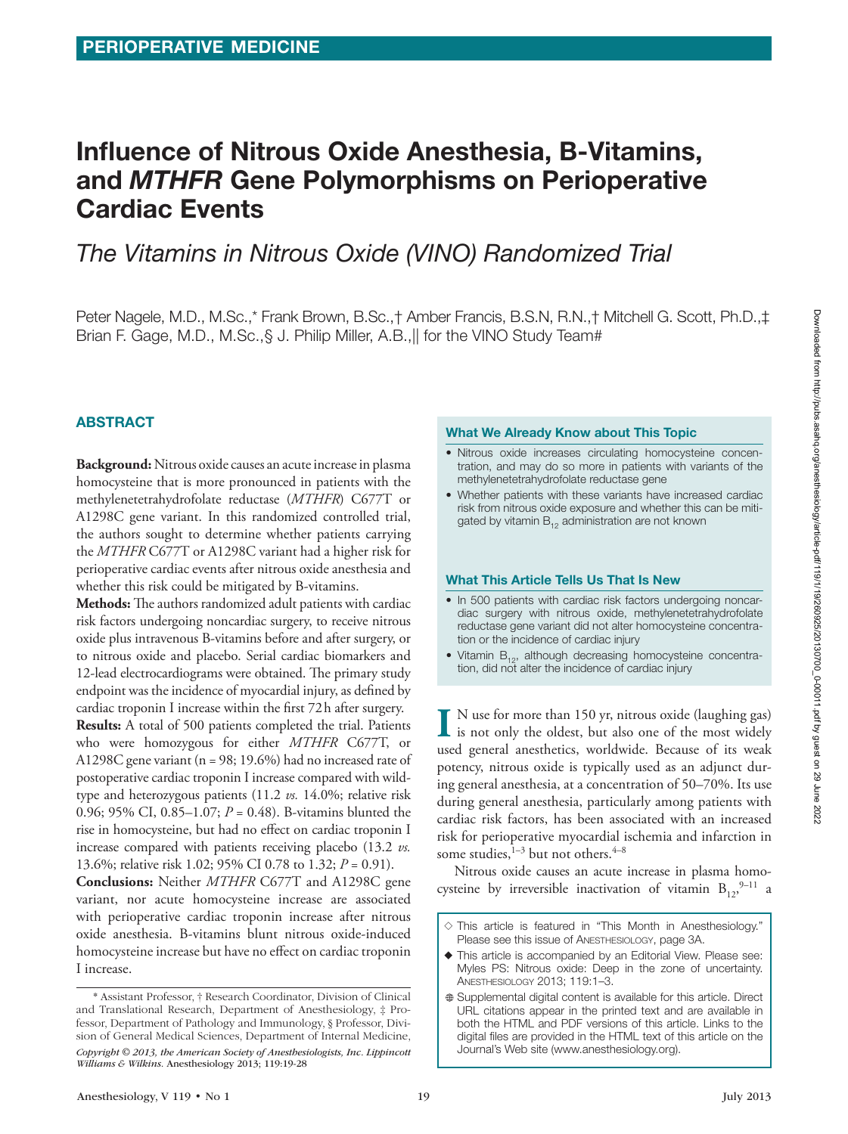# Influence of Nitrous Oxide Anesthesia, B-Vitamins, and *MTHFR* Gene Polymorphisms on Perioperative Cardiac Events

# *The Vitamins in Nitrous Oxide (VINO) Randomized Trial*

Peter Nagele, M.D., M.Sc.,\* Frank Brown, B.Sc.,† Amber Francis, B.S.N, R.N.,† Mitchell G. Scott, Ph.D.,‡ Brian F. Gage, M.D., M.Sc.,§ J. Philip Miller, A.B.,|| for the VINO Study Team#

# **ABSTRACT**

**Background:** Nitrous oxide causes an acute increase in plasma homocysteine that is more pronounced in patients with the methylenetetrahydrofolate reductase (*MTHFR*) C677T or A1298C gene variant. In this randomized controlled trial, the authors sought to determine whether patients carrying the *MTHFR* C677T or A1298C variant had a higher risk for perioperative cardiac events after nitrous oxide anesthesia and whether this risk could be mitigated by B-vitamins.

**Methods:** The authors randomized adult patients with cardiac risk factors undergoing noncardiac surgery, to receive nitrous oxide plus intravenous B-vitamins before and after surgery, or to nitrous oxide and placebo. Serial cardiac biomarkers and 12-lead electrocardiograms were obtained. The primary study endpoint was the incidence of myocardial injury, as defined by cardiac troponin I increase within the first 72h after surgery.

**Results:** A total of 500 patients completed the trial. Patients who were homozygous for either *MTHFR* C677T, or A1298C gene variant (n = 98; 19.6%) had no increased rate of postoperative cardiac troponin I increase compared with wildtype and heterozygous patients (11.2 *vs.* 14.0%; relative risk 0.96; 95% CI, 0.85–1.07; *P* = 0.48). B-vitamins blunted the rise in homocysteine, but had no effect on cardiac troponin I increase compared with patients receiving placebo (13.2 *vs.* 13.6%; relative risk 1.02; 95% CI 0.78 to 1.32; *P* = 0.91).

**Conclusions:** Neither *MTHFR* C677T and A1298C gene variant, nor acute homocysteine increase are associated with perioperative cardiac troponin increase after nitrous oxide anesthesia. B-vitamins blunt nitrous oxide-induced homocysteine increase but have no effect on cardiac troponin I increase.

#### What We Already Know about This Topic

- Nitrous oxide increases circulating homocysteine concentration, and may do so more in patients with variants of the methylenetetrahydrofolate reductase gene
- Whether patients with these variants have increased cardiac risk from nitrous oxide exposure and whether this can be mitigated by vitamin  $B_{12}$  administration are not known

### What This Article Tells Us That Is New

- In 500 patients with cardiac risk factors undergoing noncardiac surgery with nitrous oxide, methylenetetrahydrofolate reductase gene variant did not alter homocysteine concentration or the incidence of cardiac injury
- $\bullet$  Vitamin  $B_{12}$ , although decreasing homocysteine concentration, did not alter the incidence of cardiac injury

**I** N use for more than 150 yr, nitrous oxide (laughing gas) is not only the oldest, but also one of the most widely used general anesthetics, worldwide. Because of its weak potency, nitrous oxide is typically used as an adjunct during general anesthesia, at a concentration of 50–70%. Its use during general anesthesia, particularly among patients with cardiac risk factors, has been associated with an increased risk for perioperative myocardial ischemia and infarction in some studies, $1-3$  but not others. $4-8$ 

Nitrous oxide causes an acute increase in plasma homocysteine by irreversible inactivation of vitamin  $B_{12}$ ,  $9-11$  a

 $\diamond$  This article is featured in "This Month in Anesthesiology." Please see this issue of Anesthesiology, page 3A.

*Copyright © 2013, the American Society of Anesthesiologists, Inc. Lippincott* Journal's Web site [\(www.anesthesiology.org\)](http://www.anesthesiology.org). *Williams & Wilkins.* Anesthesiology 2013; 119:19-28 \* Assistant Professor, † Research Coordinator, Division of Clinical and Translational Research, Department of Anesthesiology, ‡ Professor, Department of Pathology and Immunology, § Professor, Division of General Medical Sciences, Department of Internal Medicine,

<sup>◆</sup> This article is accompanied by an Editorial View. Please see: Myles PS: Nitrous oxide: Deep in the zone of uncertainty. Anesthesiology 2013; 119:1–3.

Supplemental digital content is available for this article. Direct URL citations appear in the printed text and are available in both the HTML and PDF versions of this article. Links to the digital files are provided in the HTML text of this article on the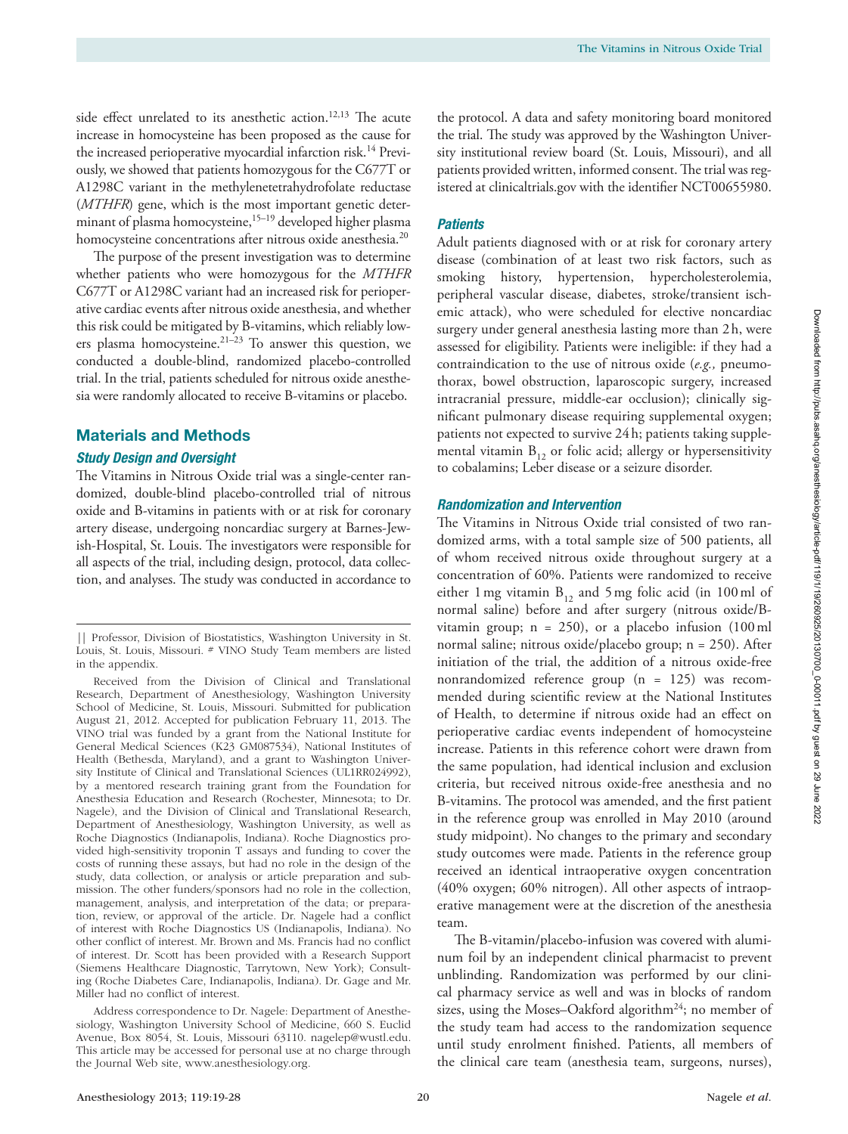side effect unrelated to its anesthetic action.<sup>12,13</sup> The acute increase in homocysteine has been proposed as the cause for the increased perioperative myocardial infarction risk.<sup>14</sup> Previously, we showed that patients homozygous for the C677T or A1298C variant in the methylenetetrahydrofolate reductase (*MTHFR*) gene, which is the most important genetic determinant of plasma homocysteine,<sup>15–19</sup> developed higher plasma homocysteine concentrations after nitrous oxide anesthesia.<sup>20</sup>

The purpose of the present investigation was to determine whether patients who were homozygous for the *MTHFR* C677T or A1298C variant had an increased risk for perioperative cardiac events after nitrous oxide anesthesia, and whether this risk could be mitigated by B-vitamins, which reliably lowers plasma homocysteine.21–23 To answer this question, we conducted a double-blind, randomized placebo-controlled trial. In the trial, patients scheduled for nitrous oxide anesthesia were randomly allocated to receive B-vitamins or placebo.

## Materials and Methods

### *Study Design and Oversight*

The Vitamins in Nitrous Oxide trial was a single-center randomized, double-blind placebo-controlled trial of nitrous oxide and B-vitamins in patients with or at risk for coronary artery disease, undergoing noncardiac surgery at Barnes-Jewish-Hospital, St. Louis. The investigators were responsible for all aspects of the trial, including design, protocol, data collection, and analyses. The study was conducted in accordance to

Address correspondence to Dr. Nagele: Department of Anesthesiology, Washington University School of Medicine, 660 S. Euclid Avenue, Box 8054, St. Louis, Missouri 63110. [nagelep@wustl.edu.](mailto:nagelep@wustl.edu)  This article may be accessed for personal use at no charge through the Journal Web site, [www.anesthesiology.org](http://www.anesthesiology.org).

the protocol. A data and safety monitoring board monitored the trial. The study was approved by the Washington University institutional review board (St. Louis, Missouri), and all patients provided written, informed consent. The trial was registered at clinicaltrials.gov with the identifier NCT00655980.

### *Patients*

Adult patients diagnosed with or at risk for coronary artery disease (combination of at least two risk factors, such as smoking history, hypertension, hypercholesterolemia, peripheral vascular disease, diabetes, stroke/transient ischemic attack), who were scheduled for elective noncardiac surgery under general anesthesia lasting more than 2h, were assessed for eligibility. Patients were ineligible: if they had a contraindication to the use of nitrous oxide (*e.g.,* pneumothorax, bowel obstruction, laparoscopic surgery, increased intracranial pressure, middle-ear occlusion); clinically significant pulmonary disease requiring supplemental oxygen; patients not expected to survive 24h; patients taking supplemental vitamin  $B_{12}$  or folic acid; allergy or hypersensitivity to cobalamins; Leber disease or a seizure disorder.

### *Randomization and Intervention*

The Vitamins in Nitrous Oxide trial consisted of two randomized arms, with a total sample size of 500 patients, all of whom received nitrous oxide throughout surgery at a concentration of 60%. Patients were randomized to receive either 1 mg vitamin  $B_{12}$  and 5 mg folic acid (in 100 ml of normal saline) before and after surgery (nitrous oxide/Bvitamin group;  $n = 250$ , or a placebo infusion  $(100 \text{ ml})$ normal saline; nitrous oxide/placebo group; n = 250). After initiation of the trial, the addition of a nitrous oxide-free nonrandomized reference group (n = 125) was recommended during scientific review at the National Institutes of Health, to determine if nitrous oxide had an effect on perioperative cardiac events independent of homocysteine increase. Patients in this reference cohort were drawn from the same population, had identical inclusion and exclusion criteria, but received nitrous oxide-free anesthesia and no B-vitamins. The protocol was amended, and the first patient in the reference group was enrolled in May 2010 (around study midpoint). No changes to the primary and secondary study outcomes were made. Patients in the reference group received an identical intraoperative oxygen concentration (40% oxygen; 60% nitrogen). All other aspects of intraoperative management were at the discretion of the anesthesia team.

The B-vitamin/placebo-infusion was covered with aluminum foil by an independent clinical pharmacist to prevent unblinding. Randomization was performed by our clinical pharmacy service as well and was in blocks of random sizes, using the Moses-Oakford algorithm<sup>24</sup>; no member of the study team had access to the randomization sequence until study enrolment finished. Patients, all members of the clinical care team (anesthesia team, surgeons, nurses),

<sup>||</sup> Professor, Division of Biostatistics, Washington University in St. Louis, St. Louis, Missouri. # VINO Study Team members are listed in the appendix.

Received from the Division of Clinical and Translational Research, Department of Anesthesiology, Washington University School of Medicine, St. Louis, Missouri. Submitted for publication August 21, 2012. Accepted for publication February 11, 2013. The VINO trial was funded by a grant from the National Institute for General Medical Sciences (K23 GM087534), National Institutes of Health (Bethesda, Maryland), and a grant to Washington University Institute of Clinical and Translational Sciences (UL1RR024992), by a mentored research training grant from the Foundation for Anesthesia Education and Research (Rochester, Minnesota; to Dr. Nagele), and the Division of Clinical and Translational Research, Department of Anesthesiology, Washington University, as well as Roche Diagnostics (Indianapolis, Indiana). Roche Diagnostics provided high-sensitivity troponin T assays and funding to cover the costs of running these assays, but had no role in the design of the study, data collection, or analysis or article preparation and submission. The other funders/sponsors had no role in the collection, management, analysis, and interpretation of the data; or preparation, review, or approval of the article. Dr. Nagele had a conflict of interest with Roche Diagnostics US (Indianapolis, Indiana). No other conflict of interest. Mr. Brown and Ms. Francis had no conflict of interest. Dr. Scott has been provided with a Research Support (Siemens Healthcare Diagnostic, Tarrytown, New York); Consulting (Roche Diabetes Care, Indianapolis, Indiana). Dr. Gage and Mr. Miller had no conflict of interest.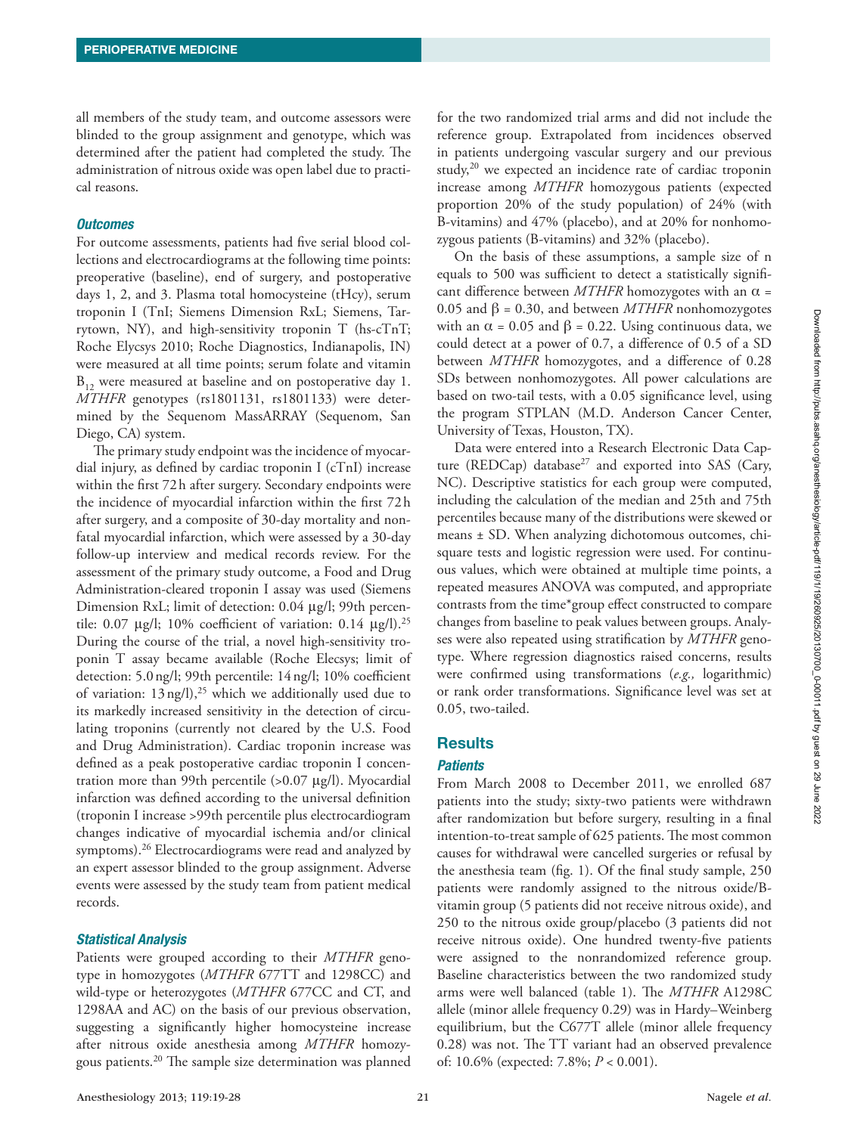# *Outcomes*

cal reasons.

For outcome assessments, patients had five serial blood collections and electrocardiograms at the following time points: preoperative (baseline), end of surgery, and postoperative days 1, 2, and 3. Plasma total homocysteine (tHcy), serum troponin I (TnI; Siemens Dimension RxL; Siemens, Tarrytown, NY), and high-sensitivity troponin T (hs-cTnT; Roche Elycsys 2010; Roche Diagnostics, Indianapolis, IN) were measured at all time points; serum folate and vitamin  $B_{12}$  were measured at baseline and on postoperative day 1. *MTHFR* genotypes (rs1801131, rs1801133) were determined by the Sequenom MassARRAY (Sequenom, San Diego, CA) system.

The primary study endpoint was the incidence of myocardial injury, as defined by cardiac troponin I (cTnI) increase within the first 72h after surgery. Secondary endpoints were the incidence of myocardial infarction within the first 72h after surgery, and a composite of 30-day mortality and nonfatal myocardial infarction, which were assessed by a 30-day follow-up interview and medical records review. For the assessment of the primary study outcome, a Food and Drug Administration-cleared troponin I assay was used (Siemens Dimension RxL; limit of detection: 0.04 μg/l; 99th percentile: 0.07 μg/l; 10% coefficient of variation: 0.14 μg/l).<sup>25</sup> During the course of the trial, a novel high-sensitivity troponin T assay became available (Roche Elecsys; limit of detection: 5.0ng/l; 99th percentile: 14ng/l; 10% coefficient of variation:  $13 \text{ ng/l}$ ,<sup>25</sup> which we additionally used due to its markedly increased sensitivity in the detection of circulating troponins (currently not cleared by the U.S. Food and Drug Administration). Cardiac troponin increase was defined as a peak postoperative cardiac troponin I concentration more than 99th percentile (>0.07 μg/l). Myocardial infarction was defined according to the universal definition (troponin I increase >99th percentile plus electrocardiogram changes indicative of myocardial ischemia and/or clinical symptoms).<sup>26</sup> Electrocardiograms were read and analyzed by an expert assessor blinded to the group assignment. Adverse events were assessed by the study team from patient medical records.

# *Statistical Analysis*

Patients were grouped according to their *MTHFR* genotype in homozygotes (*MTHFR* 677TT and 1298CC) and wild-type or heterozygotes (*MTHFR* 677CC and CT, and 1298AA and AC) on the basis of our previous observation, suggesting a significantly higher homocysteine increase after nitrous oxide anesthesia among *MTHFR* homozygous patients.20 The sample size determination was planned

for the two randomized trial arms and did not include the reference group. Extrapolated from incidences observed in patients undergoing vascular surgery and our previous study, $20$  we expected an incidence rate of cardiac troponin increase among *MTHFR* homozygous patients (expected proportion 20% of the study population) of 24% (with B-vitamins) and 47% (placebo), and at 20% for nonhomozygous patients (B-vitamins) and 32% (placebo).

On the basis of these assumptions, a sample size of n equals to 500 was sufficient to detect a statistically significant difference between  $MTHFR$  homozygotes with an  $\alpha$  = 0.05 and β = 0.30, and between *MTHFR* nonhomozygotes with an  $\alpha$  = 0.05 and  $\beta$  = 0.22. Using continuous data, we could detect at a power of 0.7, a difference of 0.5 of a SD between *MTHFR* homozygotes, and a difference of 0.28 SDs between nonhomozygotes. All power calculations are based on two-tail tests, with a 0.05 significance level, using the program STPLAN (M.D. Anderson Cancer Center, University of Texas, Houston, TX).

Data were entered into a Research Electronic Data Capture (REDCap) database<sup>27</sup> and exported into SAS (Cary, NC). Descriptive statistics for each group were computed, including the calculation of the median and 25th and 75th percentiles because many of the distributions were skewed or means ± SD. When analyzing dichotomous outcomes, chisquare tests and logistic regression were used. For continuous values, which were obtained at multiple time points, a repeated measures ANOVA was computed, and appropriate contrasts from the time\*group effect constructed to compare changes from baseline to peak values between groups. Analyses were also repeated using stratification by *MTHFR* genotype. Where regression diagnostics raised concerns, results were confirmed using transformations (*e.g.,* logarithmic) or rank order transformations. Significance level was set at 0.05, two-tailed.

# Results

# *Patients*

From March 2008 to December 2011, we enrolled 687 patients into the study; sixty-two patients were withdrawn after randomization but before surgery, resulting in a final intention-to-treat sample of 625 patients. The most common causes for withdrawal were cancelled surgeries or refusal by the anesthesia team (fig. 1). Of the final study sample, 250 patients were randomly assigned to the nitrous oxide/Bvitamin group (5 patients did not receive nitrous oxide), and 250 to the nitrous oxide group/placebo (3 patients did not receive nitrous oxide). One hundred twenty-five patients were assigned to the nonrandomized reference group. Baseline characteristics between the two randomized study arms were well balanced (table 1). The *MTHFR* A1298C allele (minor allele frequency 0.29) was in Hardy–Weinberg equilibrium, but the C677T allele (minor allele frequency 0.28) was not. The TT variant had an observed prevalence of: 10.6% (expected: 7.8%; *P* < 0.001).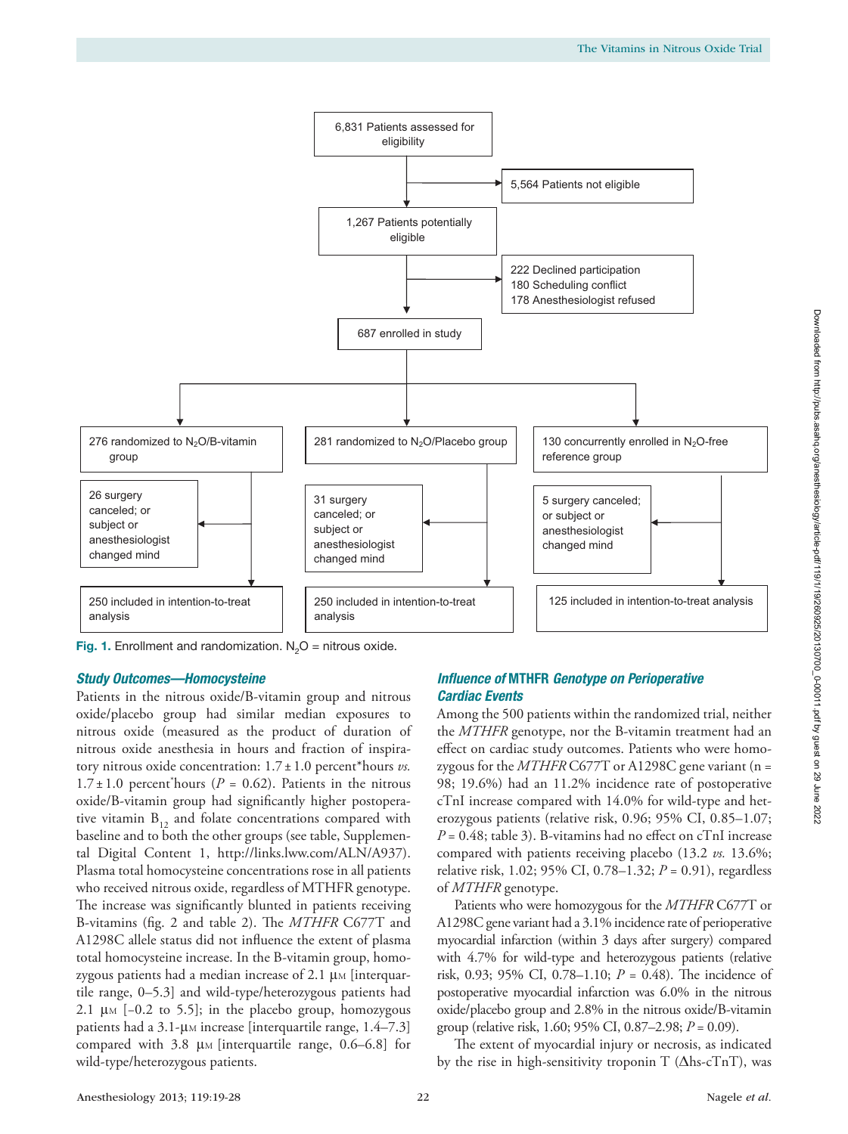

Fig. 1. Enrollment and randomization.  $N_2O$  = nitrous oxide.

### *Study Outcomes—Homocysteine*

Patients in the nitrous oxide/B-vitamin group and nitrous oxide/placebo group had similar median exposures to nitrous oxide (measured as the product of duration of nitrous oxide anesthesia in hours and fraction of inspiratory nitrous oxide concentration: 1.7 ±1.0 percent\*hours *vs.*  $1.7 \pm 1.0$  percent<sup>\*</sup>hours ( $P = 0.62$ ). Patients in the nitrous oxide/B-vitamin group had significantly higher postoperative vitamin  $B_{12}$  and folate concentrations compared with baseline and to both the other groups (see table, Supplemental Digital Content 1, [http://links.lww.com/ALN/A937\)](http://links.lww.com/ALN/A937). Plasma total homocysteine concentrations rose in all patients who received nitrous oxide, regardless of MTHFR genotype. The increase was significantly blunted in patients receiving B-vitamins (fig. 2 and table 2). The *MTHFR* C677T and A1298C allele status did not influence the extent of plasma total homocysteine increase. In the B-vitamin group, homozygous patients had a median increase of 2.1 μm [interquartile range, 0–5.3] and wild-type/heterozygous patients had 2.1 μm [−0.2 to 5.5]; in the placebo group, homozygous patients had a 3.1-μm increase [interquartile range, 1.4–7.3] compared with 3.8 μ<sup>m</sup> [interquartile range, 0.6–6.8] for wild-type/heterozygous patients.

### *Influence of* MTHFR *Genotype on Perioperative Cardiac Events*

Among the 500 patients within the randomized trial, neither the *MTHFR* genotype, nor the B-vitamin treatment had an effect on cardiac study outcomes. Patients who were homozygous for the *MTHFR* C677T or A1298C gene variant (n = 98; 19.6%) had an 11.2% incidence rate of postoperative cTnI increase compared with 14.0% for wild-type and heterozygous patients (relative risk, 0.96; 95% CI, 0.85–1.07;  $P = 0.48$ ; table 3). B-vitamins had no effect on cTnI increase compared with patients receiving placebo (13.2 *vs.* 13.6%; relative risk, 1.02; 95% CI, 0.78–1.32; *P* = 0.91), regardless of *MTHFR* genotype.

Patients who were homozygous for the *MTHFR* C677T or A1298C gene variant had a 3.1% incidence rate of perioperative myocardial infarction (within 3 days after surgery) compared with 4.7% for wild-type and heterozygous patients (relative risk, 0.93; 95% CI, 0.78–1.10; *P* = 0.48). The incidence of postoperative myocardial infarction was 6.0% in the nitrous oxide/placebo group and 2.8% in the nitrous oxide/B-vitamin group (relative risk, 1.60; 95% CI, 0.87–2.98; *P* = 0.09).

The extent of myocardial injury or necrosis, as indicated by the rise in high-sensitivity troponin  $T(\Delta h s - cTnT)$ , was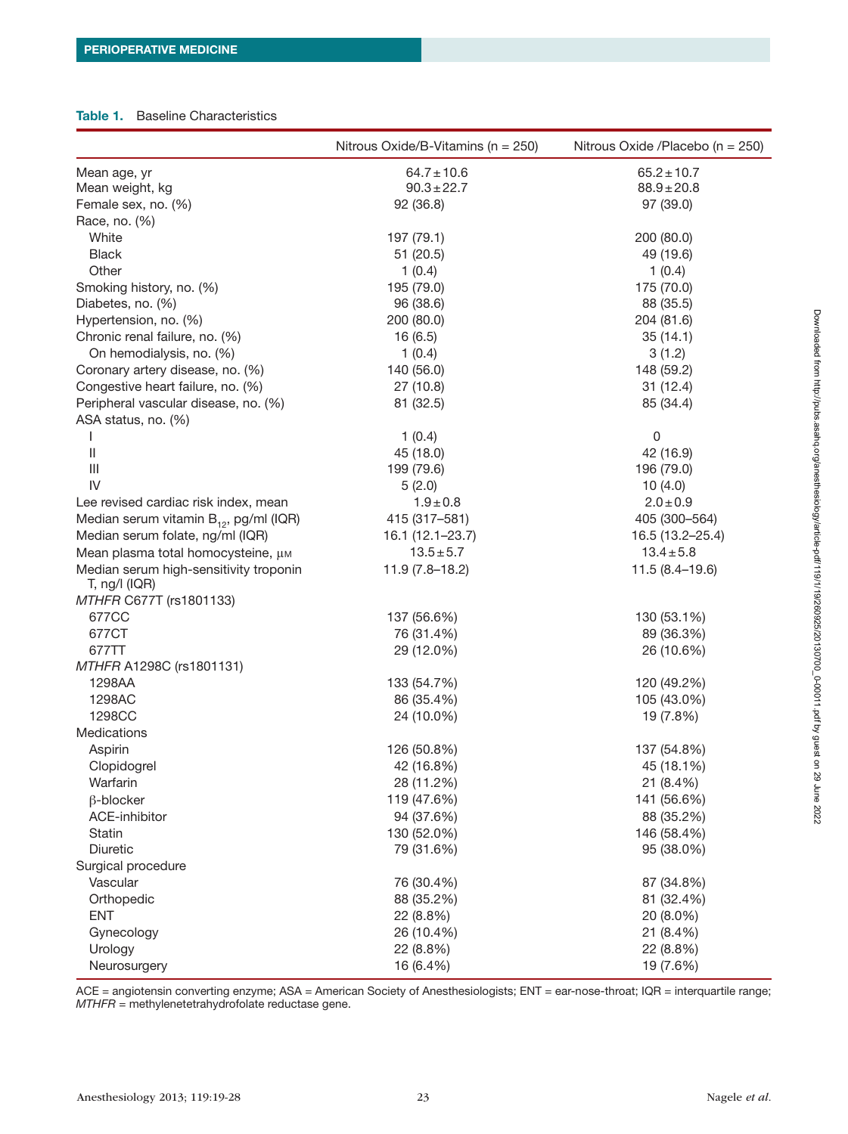### Table 1. Baseline Characteristics

|                                                                  | Nitrous Oxide/B-Vitamins ( $n = 250$ ) | Nitrous Oxide / Placebo ( $n = 250$ ) |
|------------------------------------------------------------------|----------------------------------------|---------------------------------------|
| Mean age, yr                                                     | $64.7 \pm 10.6$                        | $65.2 \pm 10.7$                       |
| Mean weight, kg                                                  | $90.3 \pm 22.7$                        | $88.9 \pm 20.8$                       |
| Female sex, no. (%)                                              | 92 (36.8)                              | 97 (39.0)                             |
| Race, no. (%)                                                    |                                        |                                       |
| White                                                            | 197 (79.1)                             | 200 (80.0)                            |
| <b>Black</b>                                                     | 51 (20.5)                              | 49 (19.6)                             |
| Other                                                            | 1(0.4)                                 | 1(0.4)                                |
| Smoking history, no. (%)                                         | 195 (79.0)                             | 175 (70.0)                            |
| Diabetes, no. (%)                                                | 96 (38.6)                              | 88 (35.5)                             |
| Hypertension, no. (%)                                            | 200 (80.0)                             | 204 (81.6)                            |
| Chronic renal failure, no. (%)                                   | 16(6.5)                                | 35(14.1)                              |
| On hemodialysis, no. (%)                                         | 1(0.4)                                 | 3(1.2)                                |
| Coronary artery disease, no. (%)                                 | 140 (56.0)                             | 148 (59.2)                            |
| Congestive heart failure, no. (%)                                | 27 (10.8)                              | 31(12.4)                              |
| Peripheral vascular disease, no. (%)                             | 81 (32.5)                              | 85 (34.4)                             |
| ASA status, no. (%)                                              |                                        |                                       |
|                                                                  | 1(0.4)                                 | $\mathbf 0$                           |
| $\mathbf{  }$                                                    | 45 (18.0)                              | 42 (16.9)                             |
| Ш                                                                | 199 (79.6)                             | 196 (79.0)                            |
| IV                                                               | 5(2.0)                                 | 10(4.0)                               |
| Lee revised cardiac risk index, mean                             | $1.9 \pm 0.8$                          | $2.0 \pm 0.9$                         |
| Median serum vitamin B <sub>12</sub> , pg/ml (IQR)               | 415 (317-581)                          | 405 (300-564)                         |
| Median serum folate, ng/ml (IQR)                                 | 16.1 (12.1-23.7)                       | 16.5 (13.2–25.4)                      |
| Mean plasma total homocysteine, µM                               | $13.5 + 5.7$                           | $13.4 \pm 5.8$                        |
| Median serum high-sensitivity troponin<br>T, ng/l ( $ QR\rangle$ | $11.9(7.8-18.2)$                       | 11.5 (8.4-19.6)                       |
| MTHFR C677T (rs1801133)                                          |                                        |                                       |
| 677CC                                                            | 137 (56.6%)                            | 130 (53.1%)                           |
| 677CT                                                            | 76 (31.4%)                             | 89 (36.3%)                            |
| 677TT                                                            | 29 (12.0%)                             | 26 (10.6%)                            |
| MTHFR A1298C (rs1801131)                                         |                                        |                                       |
| 1298AA                                                           | 133 (54.7%)                            | 120 (49.2%)                           |
| 1298AC                                                           | 86 (35.4%)                             | 105 (43.0%)                           |
| 1298CC                                                           | 24 (10.0%)                             | 19 (7.8%)                             |
| Medications                                                      |                                        |                                       |
| Aspirin                                                          | 126 (50.8%)                            | 137 (54.8%)                           |
| Clopidogrel                                                      | 42 (16.8%)                             | 45 (18.1%)                            |
| Warfarin                                                         | 28 (11.2%)                             | 21 (8.4%)                             |
| $\beta$ -blocker                                                 | 119 (47.6%)                            | 141 (56.6%)                           |
| ACE-inhibitor                                                    | 94 (37.6%)                             | 88 (35.2%)                            |
| Statin                                                           | 130 (52.0%)                            | 146 (58.4%)                           |
| Diuretic                                                         | 79 (31.6%)                             | 95 (38.0%)                            |
| Surgical procedure                                               |                                        |                                       |
| Vascular                                                         | 76 (30.4%)                             | 87 (34.8%)                            |
|                                                                  |                                        |                                       |
| Orthopedic                                                       | 88 (35.2%)                             | 81 (32.4%)                            |
| <b>ENT</b>                                                       | 22 (8.8%)                              | 20 (8.0%)                             |
| Gynecology                                                       | 26 (10.4%)                             | 21 (8.4%)                             |
| Urology                                                          | 22 (8.8%)                              | 22 (8.8%)                             |
| Neurosurgery                                                     | 16 (6.4%)                              | 19 (7.6%)                             |

ACE = angiotensin converting enzyme; ASA = American Society of Anesthesiologists; ENT = ear-nose-throat; IQR = interquartile range; *MTHFR* = methylenetetrahydrofolate reductase gene.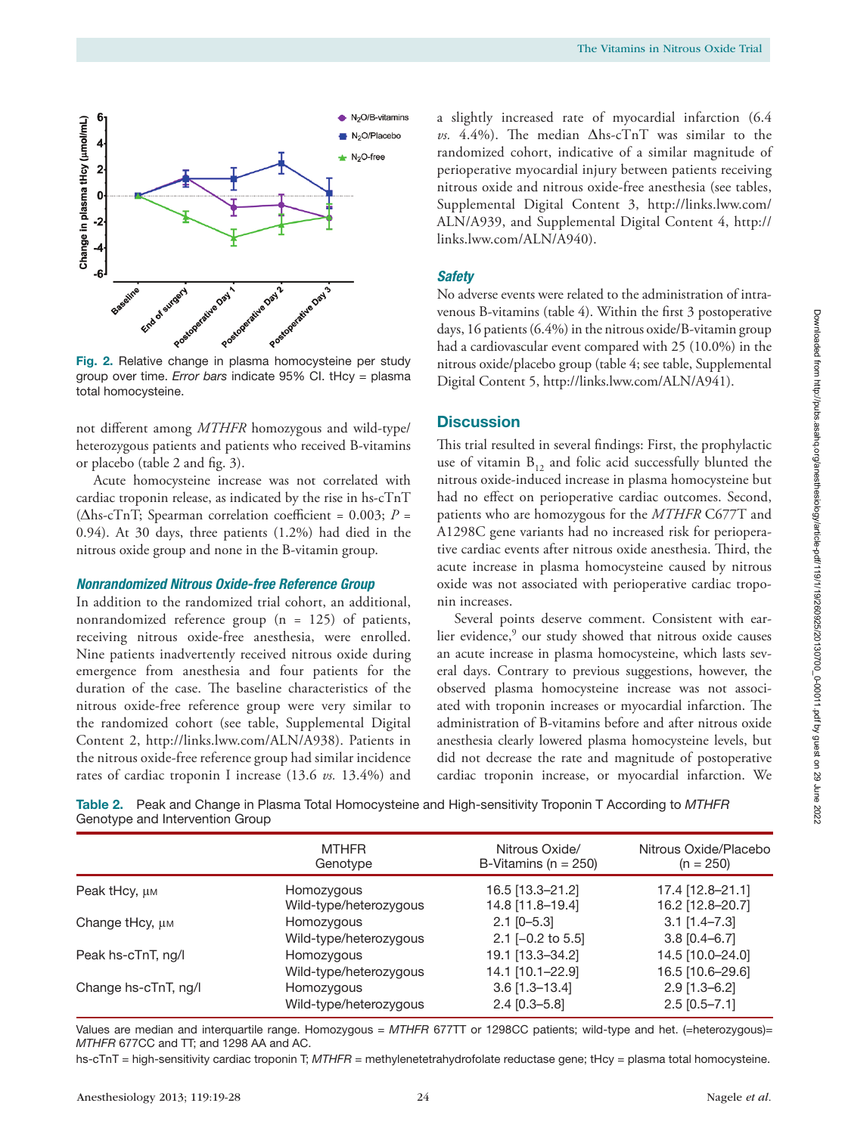

Fig. 2. Relative change in plasma homocysteine per study group over time. *Error bars* indicate 95% CI. tHcy = plasma total homocysteine.

not different among *MTHFR* homozygous and wild-type/ heterozygous patients and patients who received B-vitamins or placebo (table 2 and fig. 3).

Acute homocysteine increase was not correlated with cardiac troponin release, as indicated by the rise in hs-cTnT (Δhs-cTnT; Spearman correlation coefficient = 0.003; *P* = 0.94). At 30 days, three patients (1.2%) had died in the nitrous oxide group and none in the B-vitamin group.

### *Nonrandomized Nitrous Oxide-free Reference Group*

In addition to the randomized trial cohort, an additional, nonrandomized reference group (n = 125) of patients, receiving nitrous oxide-free anesthesia, were enrolled. Nine patients inadvertently received nitrous oxide during emergence from anesthesia and four patients for the duration of the case. The baseline characteristics of the nitrous oxide-free reference group were very similar to the randomized cohort (see table, Supplemental Digital Content 2, <http://links.lww.com/ALN/A938>). Patients in the nitrous oxide-free reference group had similar incidence rates of cardiac troponin I increase (13.6 *vs.* 13.4%) and a slightly increased rate of myocardial infarction (6.4 *vs.* 4.4%). The median Δhs-cTnT was similar to the randomized cohort, indicative of a similar magnitude of perioperative myocardial injury between patients receiving nitrous oxide and nitrous oxide-free anesthesia (see tables, Supplemental Digital Content 3, [http://links.lww.com/](http://links.lww.com/ALN/A939) [ALN/A939](http://links.lww.com/ALN/A939), and Supplemental Digital Content 4, [http://](http://links.lww.com/ALN/A940) [links.lww.com/ALN/A940](http://links.lww.com/ALN/A940)).

### *Safety*

No adverse events were related to the administration of intravenous B-vitamins (table 4). Within the first 3 postoperative days, 16 patients (6.4%) in the nitrous oxide/B-vitamin group had a cardiovascular event compared with 25 (10.0%) in the nitrous oxide/placebo group (table 4; see table, Supplemental Digital Content 5, <http://links.lww.com/ALN/A941>).

# **Discussion**

This trial resulted in several findings: First, the prophylactic use of vitamin  $B_{12}$  and folic acid successfully blunted the nitrous oxide-induced increase in plasma homocysteine but had no effect on perioperative cardiac outcomes. Second, patients who are homozygous for the *MTHFR* C677T and A1298C gene variants had no increased risk for perioperative cardiac events after nitrous oxide anesthesia. Third, the acute increase in plasma homocysteine caused by nitrous oxide was not associated with perioperative cardiac troponin increases.

Several points deserve comment. Consistent with earlier evidence,<sup>9</sup> our study showed that nitrous oxide causes an acute increase in plasma homocysteine, which lasts several days. Contrary to previous suggestions, however, the observed plasma homocysteine increase was not associated with troponin increases or myocardial infarction. The administration of B-vitamins before and after nitrous oxide anesthesia clearly lowered plasma homocysteine levels, but did not decrease the rate and magnitude of postoperative cardiac troponin increase, or myocardial infarction. We

Table 2. Peak and Change in Plasma Total Homocysteine and High-sensitivity Troponin T According to *MTHFR* Genotype and Intervention Group

|                                 | <b>MTHFR</b>           | Nitrous Oxide/           | Nitrous Oxide/Placebo |
|---------------------------------|------------------------|--------------------------|-----------------------|
|                                 | Genotype               | B-Vitamins ( $n = 250$ ) | $(n = 250)$           |
| Peak tHcy, $\mu$ <sub>M</sub>   | Homozygous             | 16.5 [13.3-21.2]         | 17.4 [12.8-21.1]      |
|                                 | Wild-type/heterozygous | 14.8 [11.8-19.4]         | 16.2 [12.8-20.7]      |
| Change tHcy, $\mu$ <sub>M</sub> | Homozygous             | $2.1$ [0-5.3]            | $3.1$ [1.4-7.3]       |
|                                 | Wild-type/heterozygous | $2.1$ [-0.2 to 5.5]      | $3.8$ [0.4-6.7]       |
| Peak hs-cTnT, ng/l              | Homozygous             | 19.1 [13.3-34.2]         | 14.5 [10.0-24.0]      |
|                                 | Wild-type/heterozygous | 14.1 [10.1-22.9]         | 16.5 [10.6-29.6]      |
| Change hs-cTnT, ng/l            | Homozygous             | $3.6$ [1.3-13.4]         | $2.9$ [1.3-6.2]       |
|                                 | Wild-type/heterozygous | $2.4$ [0.3-5.8]          | $2.5$ [0.5-7.1]       |

Values are median and interquartile range. Homozygous = *MTHFR* 677TT or 1298CC patients; wild-type and het. (=heterozygous)= *MTHFR* 677CC and TT; and 1298 AA and AC.

hs-cTnT = high-sensitivity cardiac troponin T; *MTHFR* = methylenetetrahydrofolate reductase gene; tHcy = plasma total homocysteine.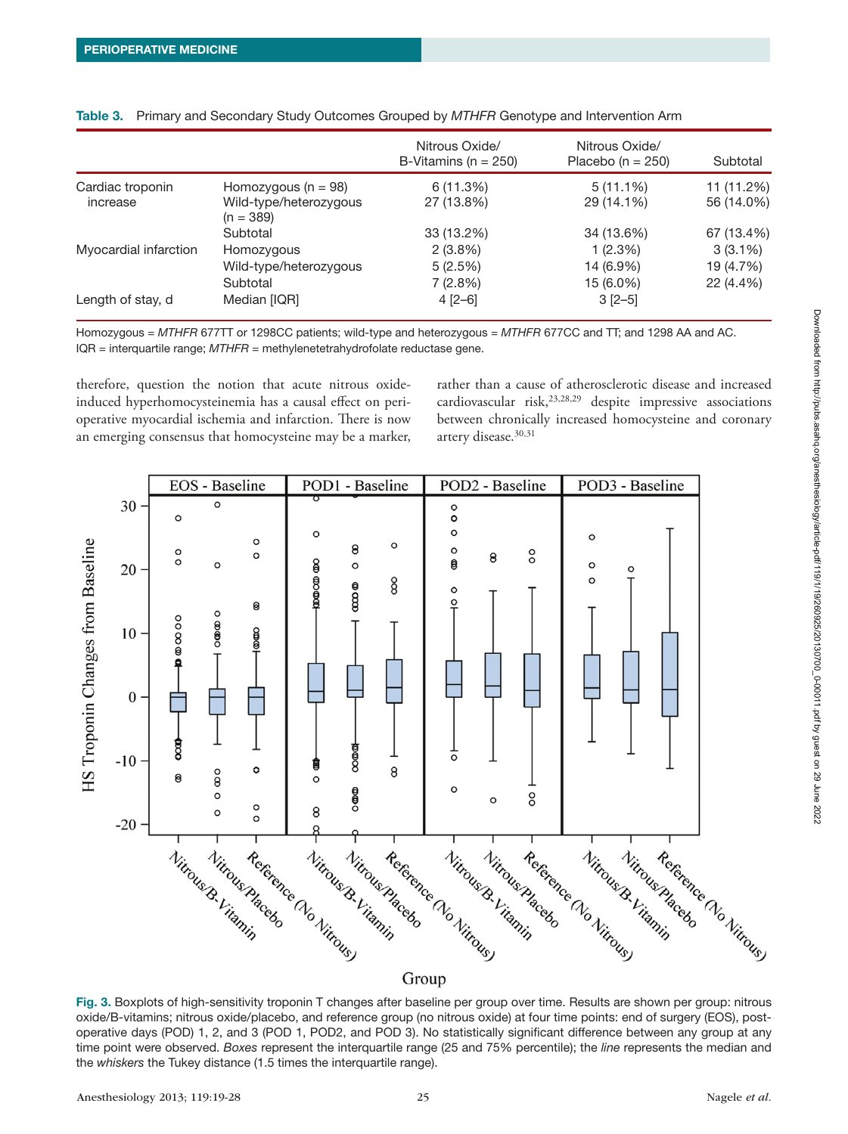|                              |                                                                  | Nitrous Oxide/<br>B-Vitamins ( $n = 250$ ) | Nitrous Oxide/<br>Placebo ( $n = 250$ ) | Subtotal                 |
|------------------------------|------------------------------------------------------------------|--------------------------------------------|-----------------------------------------|--------------------------|
| Cardiac troponin<br>increase | Homozygous ( $n = 98$ )<br>Wild-type/heterozygous<br>$(n = 389)$ | 6 (11.3%)<br>27 (13.8%)                    | $5(11.1\%)$<br>29 (14.1%)               | 11 (11.2%)<br>56 (14.0%) |
|                              | Subtotal                                                         | 33 (13.2%)                                 | 34 (13.6%)                              | 67 (13.4%)               |
| Myocardial infarction        | Homozygous                                                       | $2(3.8\%)$                                 | 1(2.3%)                                 | $3(3.1\%)$               |
|                              | Wild-type/heterozygous                                           | 5(2.5%)                                    | 14 (6.9%)                               | 19 (4.7%)                |
|                              | Subtotal                                                         | 7(2.8%)                                    | 15 (6.0%)                               | 22 (4.4%)                |
| Length of stay, d            | Median [IQR]                                                     | $4$ [2-6]                                  | $3 [2 - 5]$                             |                          |

|  | Table 3. Primary and Secondary Study Outcomes Grouped by MTHFR Genotype and Intervention Arm |  |  |
|--|----------------------------------------------------------------------------------------------|--|--|
|  |                                                                                              |  |  |

Homozygous = *MTHFR* 677TT or 1298CC patients; wild-type and heterozygous = *MTHFR* 677CC and TT; and 1298 AA and AC. IQR = interquartile range; *MTHFR* = methylenetetrahydrofolate reductase gene.

therefore, question the notion that acute nitrous oxideinduced hyperhomocysteinemia has a causal effect on perioperative myocardial ischemia and infarction. There is now an emerging consensus that homocysteine may be a marker,

rather than a cause of atherosclerotic disease and increased  $cardiovascular risk$ , $23,28,29$  despite impressive associations between chronically increased homocysteine and coronary artery disease.<sup>30,31</sup>

![](_page_6_Figure_6.jpeg)

Group

Fig. 3. Boxplots of high-sensitivity troponin T changes after baseline per group over time. Results are shown per group: nitrous oxide/B-vitamins; nitrous oxide/placebo, and reference group (no nitrous oxide) at four time points: end of surgery (EOS), postoperative days (POD) 1, 2, and 3 (POD 1, POD2, and POD 3). No statistically significant difference between any group at any time point were observed. *Boxes* represent the interquartile range (25 and 75% percentile); the *line* represents the median and the *whiskers* the Tukey distance (1.5 times the interquartile range).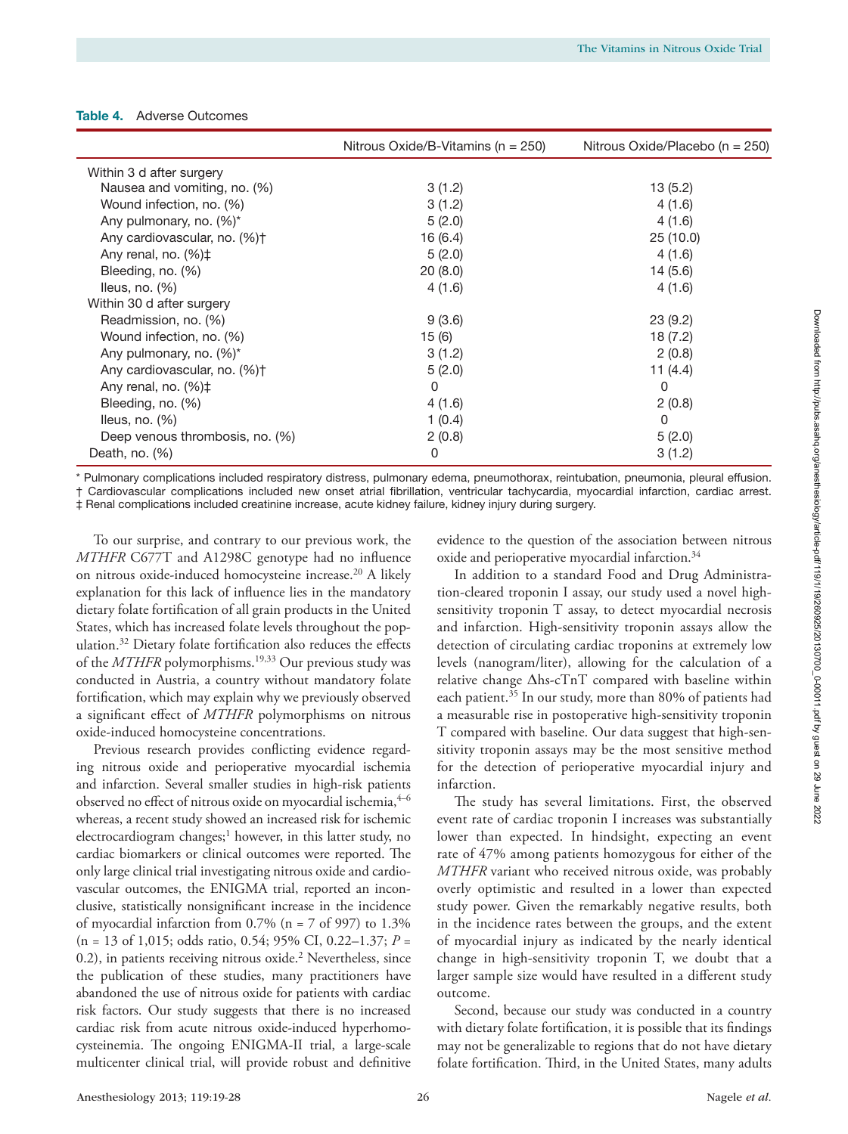|                                          | Nitrous Oxide/B-Vitamins ( $n = 250$ ) | Nitrous Oxide/Placebo ( $n = 250$ ) |
|------------------------------------------|----------------------------------------|-------------------------------------|
| Within 3 d after surgery                 |                                        |                                     |
| Nausea and vomiting, no. (%)             | 3(1.2)                                 | 13(5.2)                             |
| Wound infection, no. (%)                 | 3(1.2)                                 | 4(1.6)                              |
| Any pulmonary, no. $(\%)^*$              | 5(2.0)                                 | 4(1.6)                              |
| Any cardiovascular, no. (%) <sup>+</sup> | 16(6.4)                                | 25(10.0)                            |
| Any renal, no. $(\%)\ddagger$            | 5(2.0)                                 | 4(1.6)                              |
| Bleeding, no. (%)                        | 20(8.0)                                | 14(5.6)                             |
| lleus, no. $(\%)$                        | 4(1.6)                                 | 4(1.6)                              |
| Within 30 d after surgery                |                                        |                                     |
| Readmission, no. (%)                     | 9(3.6)                                 | 23(9.2)                             |
| Wound infection, no. (%)                 | 15(6)                                  | 18(7.2)                             |
| Any pulmonary, no. $(\%)^*$              | 3(1.2)                                 | 2(0.8)                              |
| Any cardiovascular, no. (%) <sup>+</sup> | 5(2.0)                                 | 11 $(4.4)$                          |
| Any renal, no. $(\%)\ddagger$            | 0                                      | 0                                   |
| Bleeding, no. (%)                        | 4(1.6)                                 | 2(0.8)                              |
| lleus, no. $(\%)$                        | 1(0.4)                                 | 0                                   |
| Deep venous thrombosis, no. (%)          | 2(0.8)                                 | 5(2.0)                              |
| Death, no. $(\%)$                        | 0                                      | 3(1.2)                              |
|                                          |                                        |                                     |

#### Table 4. Adverse Outcomes

Pulmonary complications included respiratory distress, pulmonary edema, pneumothorax, reintubation, pneumonia, pleural effusion. † Cardiovascular complications included new onset atrial fibrillation, ventricular tachycardia, myocardial infarction, cardiac arrest. ‡ Renal complications included creatinine increase, acute kidney failure, kidney injury during surgery.

To our surprise, and contrary to our previous work, the *MTHFR* C677T and A1298C genotype had no influence on nitrous oxide-induced homocysteine increase.20 A likely explanation for this lack of influence lies in the mandatory dietary folate fortification of all grain products in the United States, which has increased folate levels throughout the population.32 Dietary folate fortification also reduces the effects of the *MTHFR* polymorphisms.<sup>19,33</sup> Our previous study was conducted in Austria, a country without mandatory folate fortification, which may explain why we previously observed a significant effect of *MTHFR* polymorphisms on nitrous oxide-induced homocysteine concentrations.

Previous research provides conflicting evidence regarding nitrous oxide and perioperative myocardial ischemia and infarction. Several smaller studies in high-risk patients observed no effect of nitrous oxide on myocardial ischemia,  $4-6$ whereas, a recent study showed an increased risk for ischemic electrocardiogram changes;<sup>1</sup> however, in this latter study, no cardiac biomarkers or clinical outcomes were reported. The only large clinical trial investigating nitrous oxide and cardiovascular outcomes, the ENIGMA trial, reported an inconclusive, statistically nonsignificant increase in the incidence of myocardial infarction from  $0.7\%$  (n = 7 of 997) to 1.3% (n = 13 of 1,015; odds ratio, 0.54; 95% CI, 0.22–1.37; *P* = 0.2), in patients receiving nitrous oxide.<sup>2</sup> Nevertheless, since the publication of these studies, many practitioners have abandoned the use of nitrous oxide for patients with cardiac risk factors. Our study suggests that there is no increased cardiac risk from acute nitrous oxide-induced hyperhomocysteinemia. The ongoing ENIGMA-II trial, a large-scale multicenter clinical trial, will provide robust and definitive

evidence to the question of the association between nitrous oxide and perioperative myocardial infarction.<sup>34</sup>

In addition to a standard Food and Drug Administration-cleared troponin I assay, our study used a novel highsensitivity troponin T assay, to detect myocardial necrosis and infarction. High-sensitivity troponin assays allow the detection of circulating cardiac troponins at extremely low levels (nanogram/liter), allowing for the calculation of a relative change Δhs-cTnT compared with baseline within each patient.<sup>35</sup> In our study, more than 80% of patients had a measurable rise in postoperative high-sensitivity troponin T compared with baseline. Our data suggest that high-sensitivity troponin assays may be the most sensitive method for the detection of perioperative myocardial injury and infarction.

The study has several limitations. First, the observed event rate of cardiac troponin I increases was substantially lower than expected. In hindsight, expecting an event rate of 47% among patients homozygous for either of the *MTHFR* variant who received nitrous oxide, was probably overly optimistic and resulted in a lower than expected study power. Given the remarkably negative results, both in the incidence rates between the groups, and the extent of myocardial injury as indicated by the nearly identical change in high-sensitivity troponin T, we doubt that a larger sample size would have resulted in a different study outcome.

Second, because our study was conducted in a country with dietary folate fortification, it is possible that its findings may not be generalizable to regions that do not have dietary folate fortification. Third, in the United States, many adults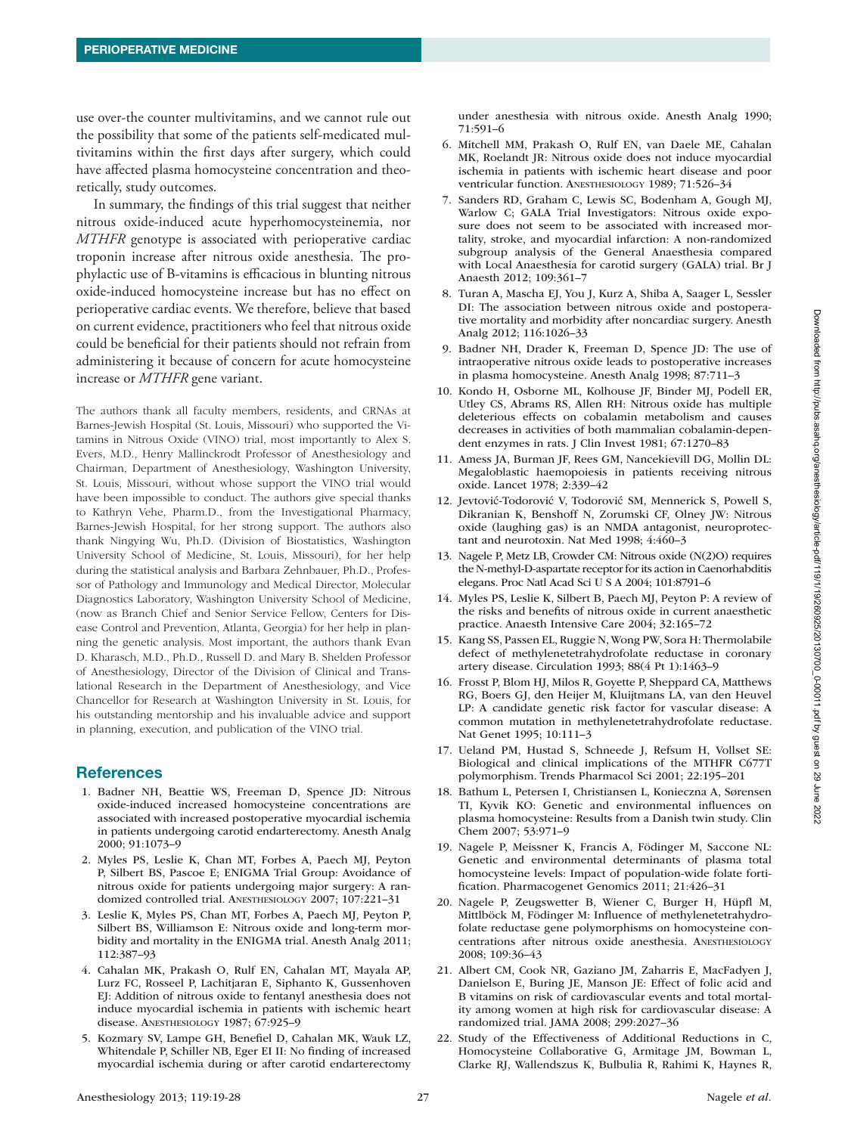use over-the counter multivitamins, and we cannot rule out the possibility that some of the patients self-medicated multivitamins within the first days after surgery, which could have affected plasma homocysteine concentration and theoretically, study outcomes.

In summary, the findings of this trial suggest that neither nitrous oxide-induced acute hyperhomocysteinemia, nor *MTHFR* genotype is associated with perioperative cardiac troponin increase after nitrous oxide anesthesia. The prophylactic use of B-vitamins is efficacious in blunting nitrous oxide-induced homocysteine increase but has no effect on perioperative cardiac events. We therefore, believe that based on current evidence, practitioners who feel that nitrous oxide could be beneficial for their patients should not refrain from administering it because of concern for acute homocysteine increase or *MTHFR* gene variant.

The authors thank all faculty members, residents, and CRNAs at Barnes-Jewish Hospital (St. Louis, Missouri) who supported the Vitamins in Nitrous Oxide (VINO) trial, most importantly to Alex S. Evers, M.D., Henry Mallinckrodt Professor of Anesthesiology and Chairman, Department of Anesthesiology, Washington University, St. Louis, Missouri, without whose support the VINO trial would have been impossible to conduct. The authors give special thanks to Kathryn Vehe, Pharm.D., from the Investigational Pharmacy, Barnes-Jewish Hospital, for her strong support. The authors also thank Ningying Wu, Ph.D. (Division of Biostatistics, Washington University School of Medicine, St. Louis, Missouri), for her help during the statistical analysis and Barbara Zehnbauer, Ph.D., Professor of Pathology and Immunology and Medical Director, Molecular Diagnostics Laboratory, Washington University School of Medicine, (now as Branch Chief and Senior Service Fellow, Centers for Disease Control and Prevention, Atlanta, Georgia) for her help in planning the genetic analysis. Most important, the authors thank Evan D. Kharasch, M.D., Ph.D., Russell D. and Mary B. Shelden Professor of Anesthesiology, Director of the Division of Clinical and Translational Research in the Department of Anesthesiology, and Vice Chancellor for Research at Washington University in St. Louis, for his outstanding mentorship and his invaluable advice and support in planning, execution, and publication of the VINO trial.

## References

- 1. Badner NH, Beattie WS, Freeman D, Spence JD: Nitrous oxide-induced increased homocysteine concentrations are associated with increased postoperative myocardial ischemia in patients undergoing carotid endarterectomy. Anesth Analg 2000; 91:1073–9
- 2. Myles PS, Leslie K, Chan MT, Forbes A, Paech MJ, Peyton P, Silbert BS, Pascoe E; ENIGMA Trial Group: Avoidance of nitrous oxide for patients undergoing major surgery: A randomized controlled trial. Anesthesiology 2007; 107:221–31
- 3. Leslie K, Myles PS, Chan MT, Forbes A, Paech MJ, Peyton P, Silbert BS, Williamson E: Nitrous oxide and long-term morbidity and mortality in the ENIGMA trial. Anesth Analg 2011; 112:387–93
- 4. Cahalan MK, Prakash O, Rulf EN, Cahalan MT, Mayala AP, Lurz FC, Rosseel P, Lachitjaran E, Siphanto K, Gussenhoven EJ: Addition of nitrous oxide to fentanyl anesthesia does not induce myocardial ischemia in patients with ischemic heart disease. Anesthesiology 1987; 67:925–9
- 5. Kozmary SV, Lampe GH, Benefiel D, Cahalan MK, Wauk LZ, Whitendale P, Schiller NB, Eger EI II: No finding of increased myocardial ischemia during or after carotid endarterectomy

under anesthesia with nitrous oxide. Anesth Analg 1990; 71:591–6

- 6. Mitchell MM, Prakash O, Rulf EN, van Daele ME, Cahalan MK, Roelandt JR: Nitrous oxide does not induce myocardial ischemia in patients with ischemic heart disease and poor ventricular function. Anesthesiology 1989; 71:526–34
- 7. Sanders RD, Graham C, Lewis SC, Bodenham A, Gough MJ, Warlow C; GALA Trial Investigators: Nitrous oxide exposure does not seem to be associated with increased mortality, stroke, and myocardial infarction: A non-randomized subgroup analysis of the General Anaesthesia compared with Local Anaesthesia for carotid surgery (GALA) trial. Br J Anaesth 2012; 109:361–7
- 8. Turan A, Mascha EJ, You J, Kurz A, Shiba A, Saager L, Sessler DI: The association between nitrous oxide and postoperative mortality and morbidity after noncardiac surgery. Anesth Analg 2012; 116:1026–33
- 9. Badner NH, Drader K, Freeman D, Spence JD: The use of intraoperative nitrous oxide leads to postoperative increases in plasma homocysteine. Anesth Analg 1998; 87:711–3
- 10. Kondo H, Osborne ML, Kolhouse JF, Binder MJ, Podell ER, Utley CS, Abrams RS, Allen RH: Nitrous oxide has multiple deleterious effects on cobalamin metabolism and causes decreases in activities of both mammalian cobalamin-dependent enzymes in rats. J Clin Invest 1981; 67:1270–83
- 11. Amess JA, Burman JF, Rees GM, Nancekievill DG, Mollin DL: Megaloblastic haemopoiesis in patients receiving nitrous oxide. Lancet 1978; 2:339–42
- 12. Jevtović-Todorović V, Todorović SM, Mennerick S, Powell S, Dikranian K, Benshoff N, Zorumski CF, Olney JW: Nitrous oxide (laughing gas) is an NMDA antagonist, neuroprotectant and neurotoxin. Nat Med 1998; 4:460–3
- 13. Nagele P, Metz LB, Crowder CM: Nitrous oxide (N(2)O) requires the N-methyl-D-aspartate receptor for its action in Caenorhabditis elegans. Proc Natl Acad Sci U S A 2004; 101:8791–6
- 14. Myles PS, Leslie K, Silbert B, Paech MJ, Peyton P: A review of the risks and benefits of nitrous oxide in current anaesthetic practice. Anaesth Intensive Care 2004; 32:165–72
- 15. Kang SS, Passen EL, Ruggie N, Wong PW, Sora H: Thermolabile defect of methylenetetrahydrofolate reductase in coronary artery disease. Circulation 1993; 88(4 Pt 1):1463–9
- 16. Frosst P, Blom HJ, Milos R, Goyette P, Sheppard CA, Matthews RG, Boers GJ, den Heijer M, Kluijtmans LA, van den Heuvel LP: A candidate genetic risk factor for vascular disease: A common mutation in methylenetetrahydrofolate reductase. Nat Genet 1995; 10:111–3
- 17. Ueland PM, Hustad S, Schneede J, Refsum H, Vollset SE: Biological and clinical implications of the MTHFR C677T polymorphism. Trends Pharmacol Sci 2001; 22:195–201
- 18. Bathum L, Petersen I, Christiansen L, Konieczna A, Sørensen TI, Kyvik KO: Genetic and environmental influences on plasma homocysteine: Results from a Danish twin study. Clin Chem 2007; 53:971–9
- 19. Nagele P, Meissner K, Francis A, Födinger M, Saccone NL: Genetic and environmental determinants of plasma total homocysteine levels: Impact of population-wide folate fortification. Pharmacogenet Genomics 2011; 21:426–31
- 20. Nagele P, Zeugswetter B, Wiener C, Burger H, Hüpfl M, Mittlböck M, Födinger M: Influence of methylenetetrahydrofolate reductase gene polymorphisms on homocysteine concentrations after nitrous oxide anesthesia. Anesthesiology 2008; 109:36–43
- 21. Albert CM, Cook NR, Gaziano JM, Zaharris E, MacFadyen J, Danielson E, Buring JE, Manson JE: Effect of folic acid and B vitamins on risk of cardiovascular events and total mortality among women at high risk for cardiovascular disease: A randomized trial. JAMA 2008; 299:2027–36
- 22. Study of the Effectiveness of Additional Reductions in C, Homocysteine Collaborative G, Armitage JM, Bowman L, Clarke RJ, Wallendszus K, Bulbulia R, Rahimi K, Haynes R,